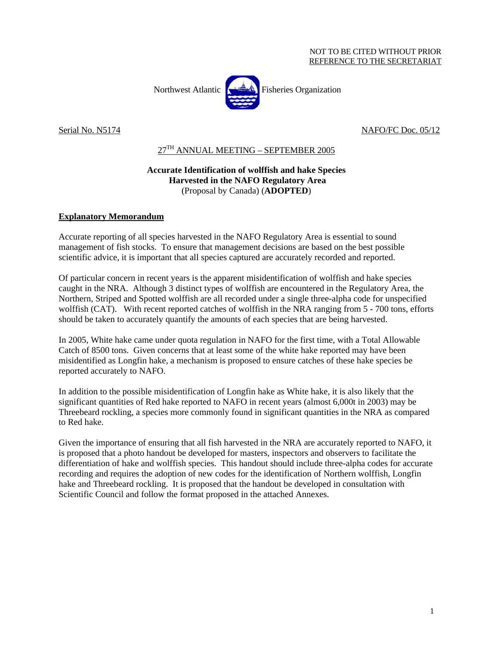

Serial No. N5174 NAFO/FC Doc. 05/12

## $27<sup>TH</sup>$  ANNUAL MEETING – SEPTEMBER 2005

## **Accurate Identification of wolffish and hake Species Harvested in the NAFO Regulatory Area**  (Proposal by Canada) (**ADOPTED**)

## **Explanatory Memorandum**

Accurate reporting of all species harvested in the NAFO Regulatory Area is essential to sound management of fish stocks. To ensure that management decisions are based on the best possible scientific advice, it is important that all species captured are accurately recorded and reported.

Of particular concern in recent years is the apparent misidentification of wolffish and hake species caught in the NRA. Although 3 distinct types of wolffish are encountered in the Regulatory Area, the Northern, Striped and Spotted wolffish are all recorded under a single three-alpha code for unspecified wolffish (CAT). With recent reported catches of wolffish in the NRA ranging from 5 - 700 tons, efforts should be taken to accurately quantify the amounts of each species that are being harvested.

In 2005, White hake came under quota regulation in NAFO for the first time, with a Total Allowable Catch of 8500 tons. Given concerns that at least some of the white hake reported may have been misidentified as Longfin hake, a mechanism is proposed to ensure catches of these hake species be reported accurately to NAFO.

In addition to the possible misidentification of Longfin hake as White hake, it is also likely that the significant quantities of Red hake reported to NAFO in recent years (almost 6,000t in 2003) may be Threebeard rockling, a species more commonly found in significant quantities in the NRA as compared to Red hake.

Given the importance of ensuring that all fish harvested in the NRA are accurately reported to NAFO, it is proposed that a photo handout be developed for masters, inspectors and observers to facilitate the differentiation of hake and wolffish species. This handout should include three-alpha codes for accurate recording and requires the adoption of new codes for the identification of Northern wolffish, Longfin hake and Threebeard rockling. It is proposed that the handout be developed in consultation with Scientific Council and follow the format proposed in the attached Annexes.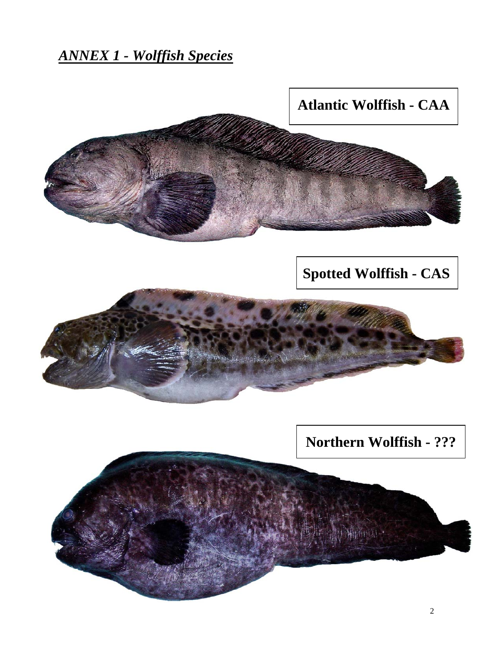*ANNEX 1 - Wolffish Species*



**Spotted Wolffish - CAS**



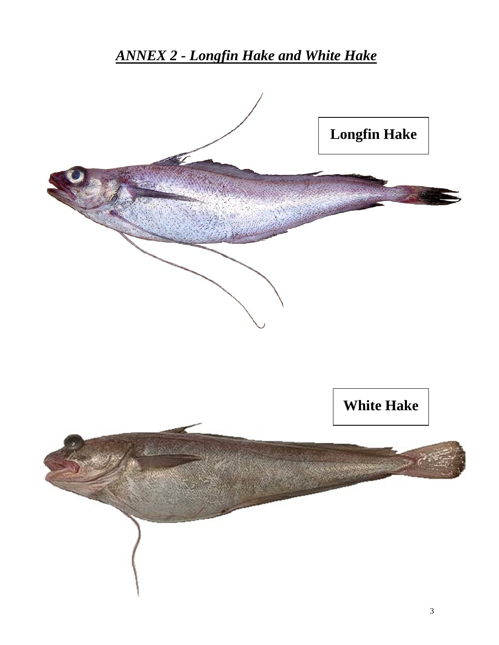*ANNEX 2 - Longfin Hake and White Hake*